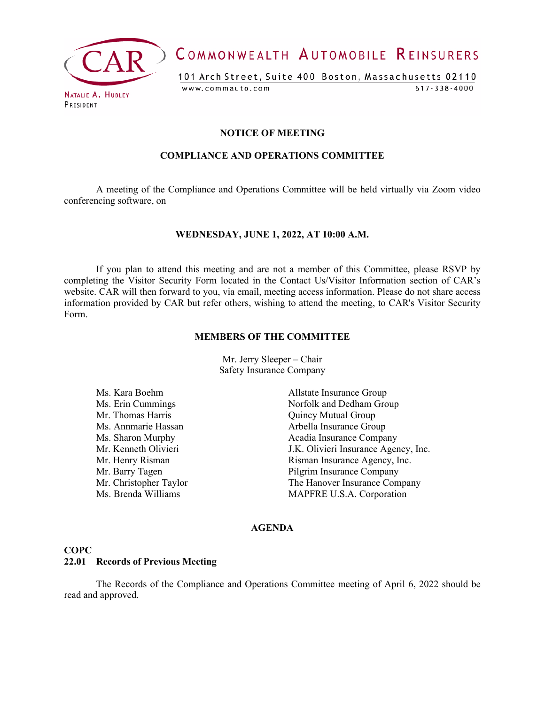

COMMONWEALTH AUTOMOBILE REINSURERS

101 Arch Street, Suite 400 Boston, Massachusetts 02110 www.commauto.com  $617 - 338 - 4000$ 

# **NOTICE OF MEETING**

#### **COMPLIANCE AND OPERATIONS COMMITTEE**

A meeting of the Compliance and Operations Committee will be held virtually via Zoom video conferencing software, on

#### **WEDNESDAY, JUNE 1, 2022, AT 10:00 A.M.**

If you plan to attend this meeting and are not a member of this Committee, please RSVP by completing the Visitor Security Form located in the Contact Us/Visitor Information section of CAR's website. CAR will then forward to you, via email, meeting access information. Please do not share access information provided by CAR but refer others, wishing to attend the meeting, to CAR's Visitor Security Form.

#### **MEMBERS OF THE COMMITTEE**

Mr. Jerry Sleeper – Chair Safety Insurance Company

Mr. Thomas Harris **Mr.** Thomas Harris **Accord Account** Cuincy Mutual Group

Ms. Kara Boehm Allstate Insurance Group Ms. Erin Cummings Norfolk and Dedham Group Ms. Annmarie Hassan Arbella Insurance Group Ms. Sharon Murphy **Acadia Insurance Company** Mr. Kenneth Olivieri **I.K.** Olivieri Insurance Agency, Inc. Mr. Henry Risman **Insurance Agency**, Inc. Mr. Barry Tagen Pilgrim Insurance Company Mr. Christopher Taylor The Hanover Insurance Company<br>
Ms. Brenda Williams MAPFRE U.S.A. Corporation MAPFRE U.S.A. Corporation

#### **AGENDA**

## **COPC**

#### **22.01 Records of Previous Meeting**

The Records of the Compliance and Operations Committee meeting of April 6, 2022 should be read and approved.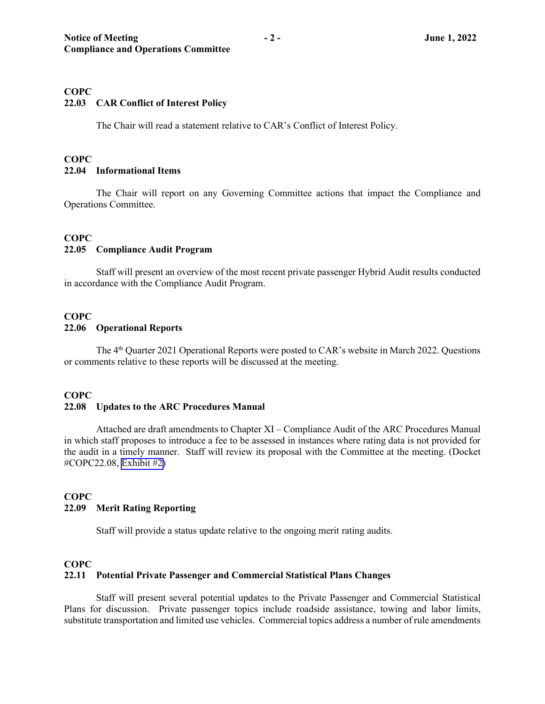## **COPC**

## **22.03 CAR Conflict of Interest Policy**

The Chair will read a statement relative to CAR's Conflict of Interest Policy.

## **COPC 22.04 Informational Items**

The Chair will report on any Governing Committee actions that impact the Compliance and Operations Committee.

#### **COPC**

#### **22.05 Compliance Audit Program**

Staff will present an overview of the most recent private passenger Hybrid Audit results conducted in accordance with the Compliance Audit Program.

## **COPC**

#### **22.06 Operational Reports**

The 4<sup>th</sup> Quarter 2021 Operational Reports were posted to CAR's website in March 2022. Questions or comments relative to these reports will be discussed at the meeting.

#### **COPC**

#### **22.08 Updates to the ARC Procedures Manual**

Attached are draft amendments to Chapter XI – Compliance Audit of the ARC Procedures Manual in which staff proposes to introduce a fee to be assessed in instances where rating data is not provided for the audit in a timely manner. Staff will review its proposal with the Committee at the meeting. (Docket #COPC22.08, [Exhibit #2\)](#page-3-0)

#### **COPC 22.09 Merit Rating Reporting**

Staff will provide a status update relative to the ongoing merit rating audits.

#### **COPC**

#### **22.11 Potential Private Passenger and Commercial Statistical Plans Changes**

Staff will present several potential updates to the Private Passenger and Commercial Statistical Plans for discussion. Private passenger topics include roadside assistance, towing and labor limits, substitute transportation and limited use vehicles. Commercial topics address a number of rule amendments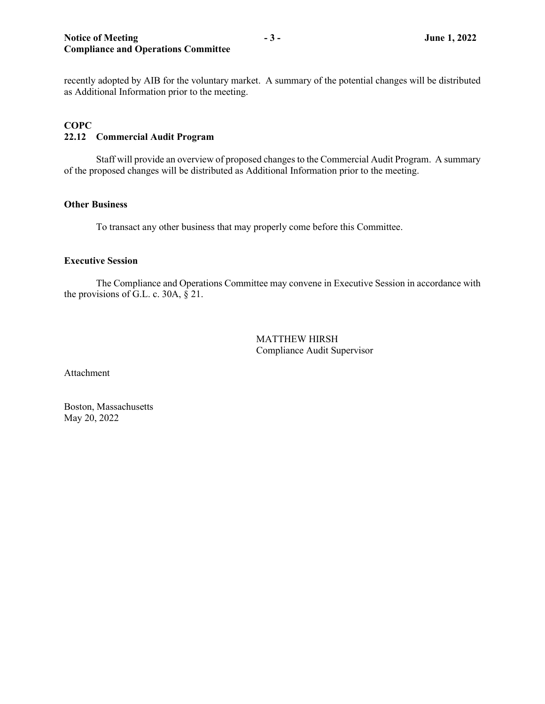recently adopted by AIB for the voluntary market. A summary of the potential changes will be distributed as Additional Information prior to the meeting.

## **COPC 22.12 Commercial Audit Program**

Staff will provide an overview of proposed changes to the Commercial Audit Program. A summary of the proposed changes will be distributed as Additional Information prior to the meeting.

#### **Other Business**

To transact any other business that may properly come before this Committee.

#### **Executive Session**

The Compliance and Operations Committee may convene in Executive Session in accordance with the provisions of G.L. c. 30A, § 21.

> MATTHEW HIRSH Compliance Audit Supervisor

Attachment

Boston, Massachusetts May 20, 2022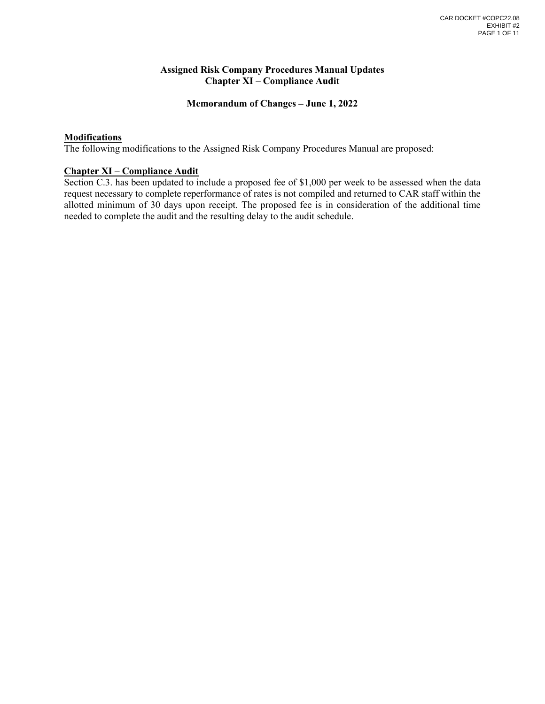#### **Assigned Risk Company Procedures Manual Updates Chapter XI – Compliance Audit**

#### **Memorandum of Changes – June 1, 2022**

#### <span id="page-3-0"></span>**Modifications**

The following modifications to the Assigned Risk Company Procedures Manual are proposed:

#### **Chapter XI – Compliance Audit**

Section C.3. has been updated to include a proposed fee of \$1,000 per week to be assessed when the data request necessary to complete reperformance of rates is not compiled and returned to CAR staff within the allotted minimum of 30 days upon receipt. The proposed fee is in consideration of the additional time needed to complete the audit and the resulting delay to the audit schedule.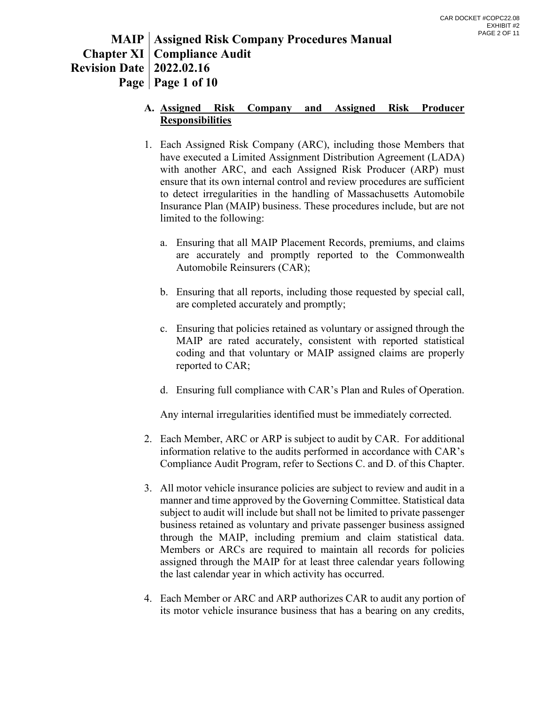# **MAIP Assigned Risk Company Procedures Manual Chapter XI Compliance Audit Revision Date 2022.02.16 Page Page 1 of 10**

## **A. Assigned Risk Company and Assigned Risk Producer Responsibilities**

- 1. Each Assigned Risk Company (ARC), including those Members that have executed a Limited Assignment Distribution Agreement (LADA) with another ARC, and each Assigned Risk Producer (ARP) must ensure that its own internal control and review procedures are sufficient to detect irregularities in the handling of Massachusetts Automobile Insurance Plan (MAIP) business. These procedures include, but are not limited to the following:
	- a. Ensuring that all MAIP Placement Records, premiums, and claims are accurately and promptly reported to the Commonwealth Automobile Reinsurers (CAR);
	- b. Ensuring that all reports, including those requested by special call, are completed accurately and promptly;
	- c. Ensuring that policies retained as voluntary or assigned through the MAIP are rated accurately, consistent with reported statistical coding and that voluntary or MAIP assigned claims are properly reported to CAR;
	- d. Ensuring full compliance with CAR's Plan and Rules of Operation.

Any internal irregularities identified must be immediately corrected.

- 2. Each Member, ARC or ARP is subject to audit by CAR. For additional information relative to the audits performed in accordance with CAR's Compliance Audit Program, refer to Sections C. and D. of this Chapter.
- 3. All motor vehicle insurance policies are subject to review and audit in a manner and time approved by the Governing Committee. Statistical data subject to audit will include but shall not be limited to private passenger business retained as voluntary and private passenger business assigned through the MAIP, including premium and claim statistical data. Members or ARCs are required to maintain all records for policies assigned through the MAIP for at least three calendar years following the last calendar year in which activity has occurred.
- 4. Each Member or ARC and ARP authorizes CAR to audit any portion of its motor vehicle insurance business that has a bearing on any credits,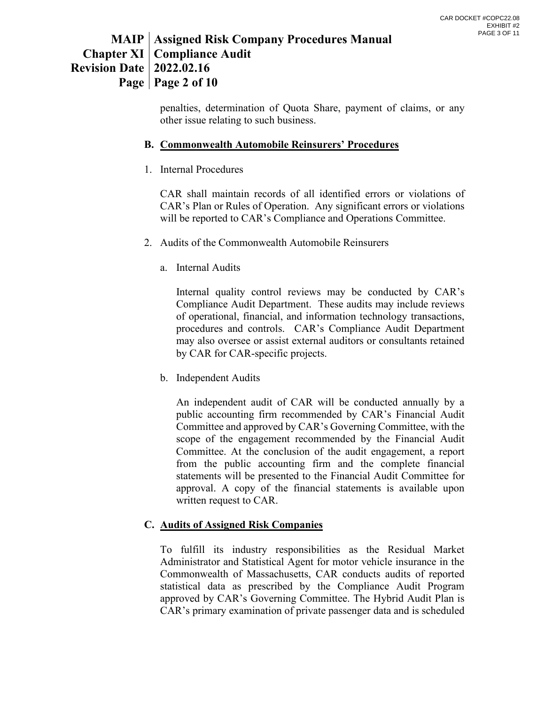# **MAIP Assigned Risk Company Procedures Manual Chapter XI Compliance Audit Revision Date 2022.02.16 Page Page 2 of 10**

penalties, determination of Quota Share, payment of claims, or any other issue relating to such business.

## **B. Commonwealth Automobile Reinsurers' Procedures**

1. Internal Procedures

CAR shall maintain records of all identified errors or violations of CAR's Plan or Rules of Operation. Any significant errors or violations will be reported to CAR's Compliance and Operations Committee.

- 2. Audits of the Commonwealth Automobile Reinsurers
	- a. Internal Audits

Internal quality control reviews may be conducted by CAR's Compliance Audit Department. These audits may include reviews of operational, financial, and information technology transactions, procedures and controls. CAR's Compliance Audit Department may also oversee or assist external auditors or consultants retained by CAR for CAR-specific projects.

b. Independent Audits

An independent audit of CAR will be conducted annually by a public accounting firm recommended by CAR's Financial Audit Committee and approved by CAR's Governing Committee, with the scope of the engagement recommended by the Financial Audit Committee. At the conclusion of the audit engagement, a report from the public accounting firm and the complete financial statements will be presented to the Financial Audit Committee for approval. A copy of the financial statements is available upon written request to CAR.

## **C. Audits of Assigned Risk Companies**

To fulfill its industry responsibilities as the Residual Market Administrator and Statistical Agent for motor vehicle insurance in the Commonwealth of Massachusetts, CAR conducts audits of reported statistical data as prescribed by the Compliance Audit Program approved by CAR's Governing Committee. The Hybrid Audit Plan is CAR's primary examination of private passenger data and is scheduled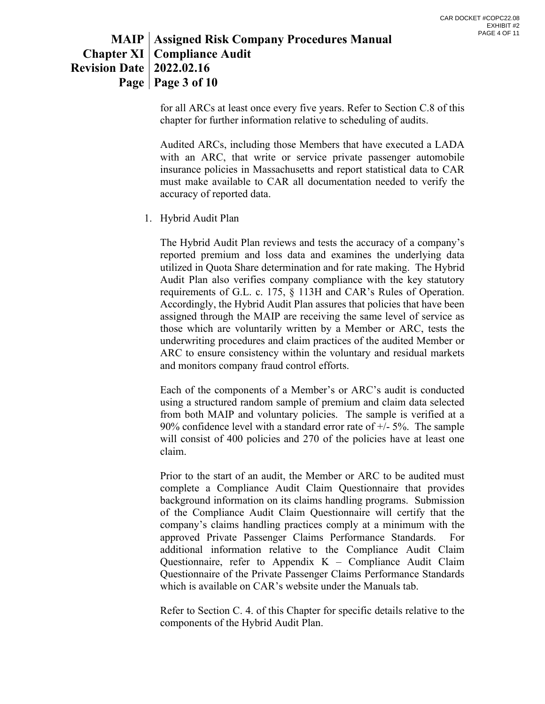# **MAIP Assigned Risk Company Procedures Manual Chapter XI Compliance Audit Revision Date 2022.02.16 Page Page 3 of 10**

for all ARCs at least once every five years. Refer to Section C.8 of this chapter for further information relative to scheduling of audits.

Audited ARCs, including those Members that have executed a LADA with an ARC, that write or service private passenger automobile insurance policies in Massachusetts and report statistical data to CAR must make available to CAR all documentation needed to verify the accuracy of reported data.

1. Hybrid Audit Plan

The Hybrid Audit Plan reviews and tests the accuracy of a company's reported premium and loss data and examines the underlying data utilized in Quota Share determination and for rate making. The Hybrid Audit Plan also verifies company compliance with the key statutory requirements of G.L. c. 175, § 113H and CAR's Rules of Operation. Accordingly, the Hybrid Audit Plan assures that policies that have been assigned through the MAIP are receiving the same level of service as those which are voluntarily written by a Member or ARC, tests the underwriting procedures and claim practices of the audited Member or ARC to ensure consistency within the voluntary and residual markets and monitors company fraud control efforts.

Each of the components of a Member's or ARC's audit is conducted using a structured random sample of premium and claim data selected from both MAIP and voluntary policies. The sample is verified at a 90% confidence level with a standard error rate of  $+/-5$ %. The sample will consist of 400 policies and 270 of the policies have at least one claim.

Prior to the start of an audit, the Member or ARC to be audited must complete a Compliance Audit Claim Questionnaire that provides background information on its claims handling programs. Submission of the Compliance Audit Claim Questionnaire will certify that the company's claims handling practices comply at a minimum with the approved Private Passenger Claims Performance Standards. For additional information relative to the Compliance Audit Claim Questionnaire, refer to Appendix  $K$  – Compliance Audit Claim Questionnaire of the Private Passenger Claims Performance Standards which is available on CAR's website under the Manuals tab.

Refer to Section C. 4. of this Chapter for specific details relative to the components of the Hybrid Audit Plan.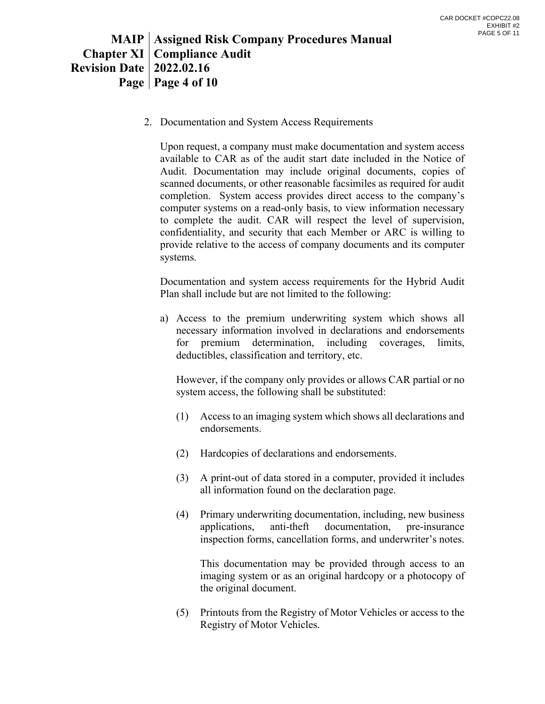# **MAIP Assigned Risk Company Procedures Manual Chapter XI Compliance Audit Revision Date 2022.02.16 Page Page 4 of 10**

2. Documentation and System Access Requirements

Upon request, a company must make documentation and system access available to CAR as of the audit start date included in the Notice of Audit. Documentation may include original documents, copies of scanned documents, or other reasonable facsimiles as required for audit completion. System access provides direct access to the company's computer systems on a read-only basis, to view information necessary to complete the audit. CAR will respect the level of supervision, confidentiality, and security that each Member or ARC is willing to provide relative to the access of company documents and its computer systems.

Documentation and system access requirements for the Hybrid Audit Plan shall include but are not limited to the following:

a) Access to the premium underwriting system which shows all necessary information involved in declarations and endorsements for premium determination, including coverages, limits, deductibles, classification and territory, etc.

However, if the company only provides or allows CAR partial or no system access, the following shall be substituted:

- (1) Access to an imaging system which shows all declarations and endorsements.
- (2) Hardcopies of declarations and endorsements.
- (3) A print-out of data stored in a computer, provided it includes all information found on the declaration page.
- (4) Primary underwriting documentation, including, new business applications, anti-theft documentation, pre-insurance inspection forms, cancellation forms, and underwriter's notes.

This documentation may be provided through access to an imaging system or as an original hardcopy or a photocopy of the original document.

(5) Printouts from the Registry of Motor Vehicles or access to the Registry of Motor Vehicles.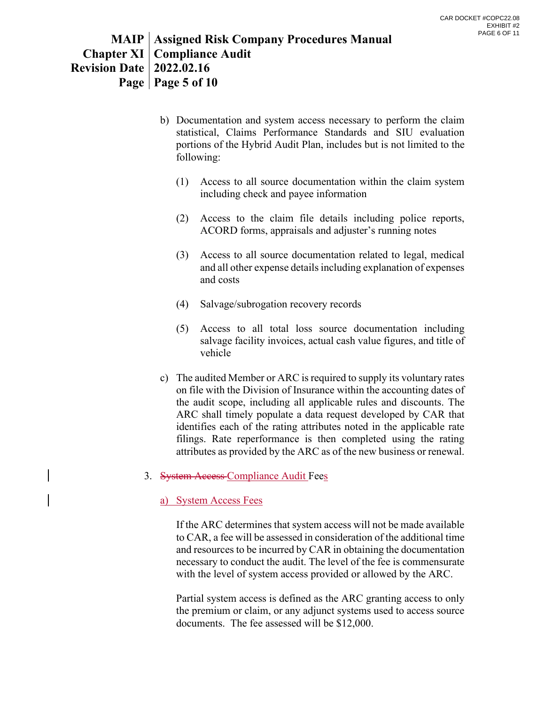# **MAIP Assigned Risk Company Procedures Manual Chapter XI Compliance Audit Revision Date 2022.02.16 Page Page 5 of 10**

- b) Documentation and system access necessary to perform the claim statistical, Claims Performance Standards and SIU evaluation portions of the Hybrid Audit Plan, includes but is not limited to the following:
	- (1) Access to all source documentation within the claim system including check and payee information
	- (2) Access to the claim file details including police reports, ACORD forms, appraisals and adjuster's running notes
	- (3) Access to all source documentation related to legal, medical and all other expense details including explanation of expenses and costs
	- (4) Salvage/subrogation recovery records
	- (5) Access to all total loss source documentation including salvage facility invoices, actual cash value figures, and title of vehicle
- c) The audited Member or ARC is required to supply its voluntary rates on file with the Division of Insurance within the accounting dates of the audit scope, including all applicable rules and discounts. The ARC shall timely populate a data request developed by CAR that identifies each of the rating attributes noted in the applicable rate filings. Rate reperformance is then completed using the rating attributes as provided by the ARC as of the new business or renewal.
- 3. System Access Compliance Audit Fees

## a) System Access Fees

If the ARC determines that system access will not be made available to CAR, a fee will be assessed in consideration of the additional time and resources to be incurred by CAR in obtaining the documentation necessary to conduct the audit. The level of the fee is commensurate with the level of system access provided or allowed by the ARC.

Partial system access is defined as the ARC granting access to only the premium or claim, or any adjunct systems used to access source documents. The fee assessed will be \$12,000.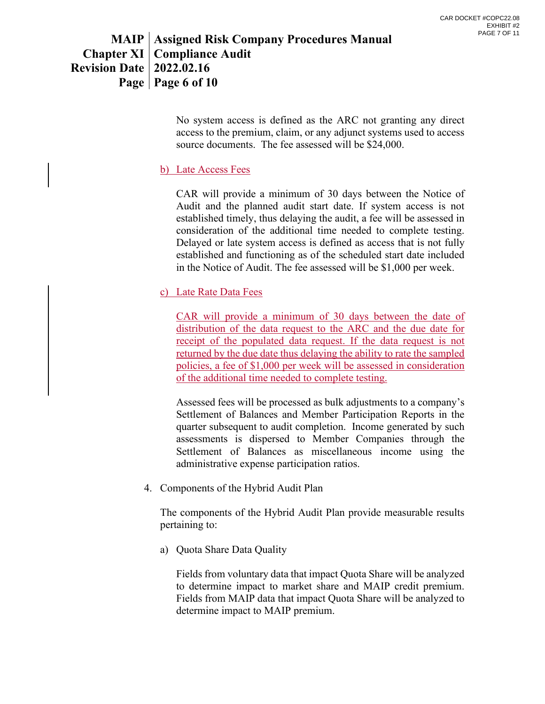# **MAIP Assigned Risk Company Procedures Manual Chapter XI Compliance Audit Revision Date 2022.02.16 Page Page 6 of 10**

No system access is defined as the ARC not granting any direct access to the premium, claim, or any adjunct systems used to access source documents. The fee assessed will be \$24,000.

## b) Late Access Fees

CAR will provide a minimum of 30 days between the Notice of Audit and the planned audit start date. If system access is not established timely, thus delaying the audit, a fee will be assessed in consideration of the additional time needed to complete testing. Delayed or late system access is defined as access that is not fully established and functioning as of the scheduled start date included in the Notice of Audit. The fee assessed will be \$1,000 per week.

## c) Late Rate Data Fees

CAR will provide a minimum of 30 days between the date of distribution of the data request to the ARC and the due date for receipt of the populated data request. If the data request is not returned by the due date thus delaying the ability to rate the sampled policies, a fee of \$1,000 per week will be assessed in consideration of the additional time needed to complete testing.

Assessed fees will be processed as bulk adjustments to a company's Settlement of Balances and Member Participation Reports in the quarter subsequent to audit completion. Income generated by such assessments is dispersed to Member Companies through the Settlement of Balances as miscellaneous income using the administrative expense participation ratios.

4. Components of the Hybrid Audit Plan

The components of the Hybrid Audit Plan provide measurable results pertaining to:

a) Quota Share Data Quality

Fields from voluntary data that impact Quota Share will be analyzed to determine impact to market share and MAIP credit premium. Fields from MAIP data that impact Quota Share will be analyzed to determine impact to MAIP premium.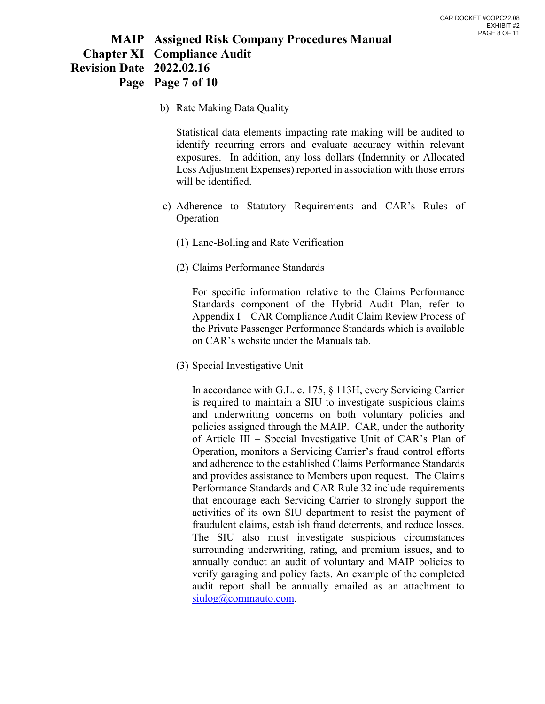# **MAIP Assigned Risk Company Procedures Manual Chapter XI Compliance Audit Revision Date 2022.02.16 Page Page 7 of 10**

b) Rate Making Data Quality

Statistical data elements impacting rate making will be audited to identify recurring errors and evaluate accuracy within relevant exposures. In addition, any loss dollars (Indemnity or Allocated Loss Adjustment Expenses) reported in association with those errors will be identified.

- c) Adherence to Statutory Requirements and CAR's Rules of Operation
	- (1) Lane-Bolling and Rate Verification
	- (2) Claims Performance Standards

For specific information relative to the Claims Performance Standards component of the Hybrid Audit Plan, refer to Appendix I – CAR Compliance Audit Claim Review Process of the Private Passenger Performance Standards which is available on CAR's website under the Manuals tab.

(3) Special Investigative Unit

In accordance with G.L. c. 175, § 113H, every Servicing Carrier is required to maintain a SIU to investigate suspicious claims and underwriting concerns on both voluntary policies and policies assigned through the MAIP. CAR, under the authority of Article III – Special Investigative Unit of CAR's Plan of Operation, monitors a Servicing Carrier's fraud control efforts and adherence to the established Claims Performance Standards and provides assistance to Members upon request. The Claims Performance Standards and CAR Rule 32 include requirements that encourage each Servicing Carrier to strongly support the activities of its own SIU department to resist the payment of fraudulent claims, establish fraud deterrents, and reduce losses. The SIU also must investigate suspicious circumstances surrounding underwriting, rating, and premium issues, and to annually conduct an audit of voluntary and MAIP policies to verify garaging and policy facts. An example of the completed audit report shall be annually emailed as an attachment to [siulog@commauto.com.](mailto:siulog@commauto.com)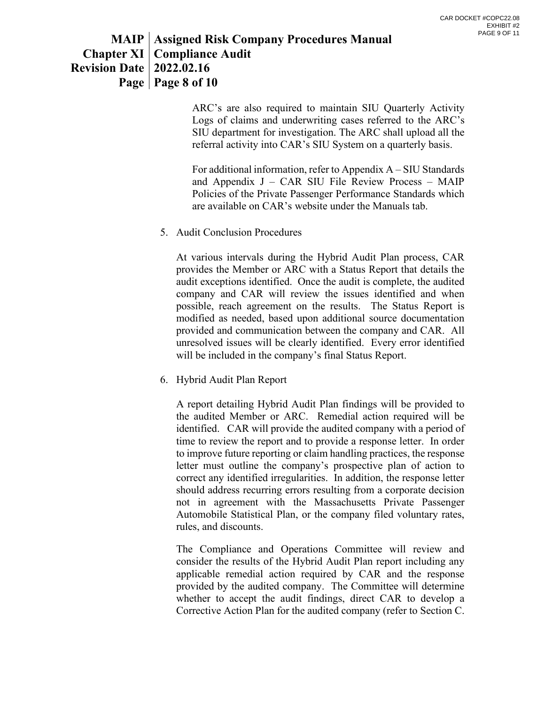# **MAIP Assigned Risk Company Procedures Manual Chapter XI Compliance Audit Revision Date 2022.02.16 Page Page 8 of 10**

ARC's are also required to maintain SIU Quarterly Activity Logs of claims and underwriting cases referred to the ARC's SIU department for investigation. The ARC shall upload all the referral activity into CAR's SIU System on a quarterly basis.

For additional information, refer to Appendix A – SIU Standards and Appendix  $J - CAR$  SIU File Review Process – MAIP Policies of the Private Passenger Performance Standards which are available on CAR's website under the Manuals tab.

5. Audit Conclusion Procedures

At various intervals during the Hybrid Audit Plan process, CAR provides the Member or ARC with a Status Report that details the audit exceptions identified. Once the audit is complete, the audited company and CAR will review the issues identified and when possible, reach agreement on the results. The Status Report is modified as needed, based upon additional source documentation provided and communication between the company and CAR. All unresolved issues will be clearly identified. Every error identified will be included in the company's final Status Report.

6. Hybrid Audit Plan Report

A report detailing Hybrid Audit Plan findings will be provided to the audited Member or ARC. Remedial action required will be identified. CAR will provide the audited company with a period of time to review the report and to provide a response letter. In order to improve future reporting or claim handling practices, the response letter must outline the company's prospective plan of action to correct any identified irregularities. In addition, the response letter should address recurring errors resulting from a corporate decision not in agreement with the Massachusetts Private Passenger Automobile Statistical Plan, or the company filed voluntary rates, rules, and discounts.

The Compliance and Operations Committee will review and consider the results of the Hybrid Audit Plan report including any applicable remedial action required by CAR and the response provided by the audited company. The Committee will determine whether to accept the audit findings, direct CAR to develop a Corrective Action Plan for the audited company (refer to Section C.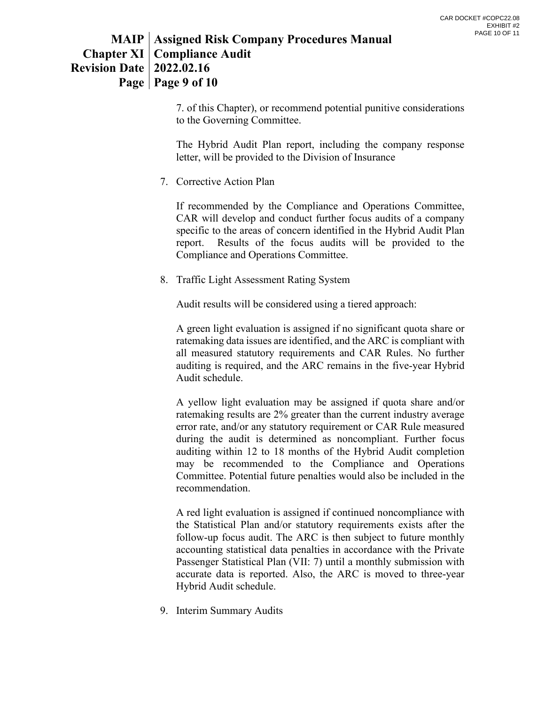# **MAIP Assigned Risk Company Procedures Manual Chapter XI Compliance Audit Revision Date 2022.02.16 Page Page 9 of 10**

7. of this Chapter), or recommend potential punitive considerations to the Governing Committee.

The Hybrid Audit Plan report, including the company response letter, will be provided to the Division of Insurance

7. Corrective Action Plan

If recommended by the Compliance and Operations Committee, CAR will develop and conduct further focus audits of a company specific to the areas of concern identified in the Hybrid Audit Plan report. Results of the focus audits will be provided to the Compliance and Operations Committee.

8. Traffic Light Assessment Rating System

Audit results will be considered using a tiered approach:

A green light evaluation is assigned if no significant quota share or ratemaking data issues are identified, and the ARC is compliant with all measured statutory requirements and CAR Rules. No further auditing is required, and the ARC remains in the five-year Hybrid Audit schedule.

A yellow light evaluation may be assigned if quota share and/or ratemaking results are 2% greater than the current industry average error rate, and/or any statutory requirement or CAR Rule measured during the audit is determined as noncompliant. Further focus auditing within 12 to 18 months of the Hybrid Audit completion may be recommended to the Compliance and Operations Committee. Potential future penalties would also be included in the recommendation.

A red light evaluation is assigned if continued noncompliance with the Statistical Plan and/or statutory requirements exists after the follow-up focus audit. The ARC is then subject to future monthly accounting statistical data penalties in accordance with the Private Passenger Statistical Plan (VII: 7) until a monthly submission with accurate data is reported. Also, the ARC is moved to three-year Hybrid Audit schedule.

9. Interim Summary Audits